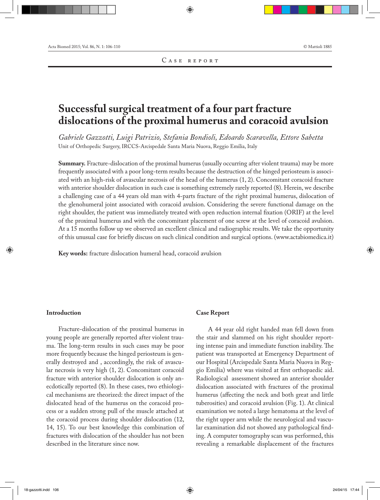# **Successful surgical treatment of a four part fracture dislocations of the proximal humerus and coracoid avulsion**

*Gabriele Gazzotti, Luigi Patrizio, Stefania Bondioli, Edoardo Scaravella, Ettore Sabetta* Unit of Orthopedic Surgery, IRCCS-Arcispedale Santa Maria Nuova, Reggio Emilia, Italy

**Summary.** Fracture-dislocation of the proximal humerus (usually occurring after violent trauma) may be more frequently associated with a poor long-term results because the destruction of the hinged periosteum is associated with an high-risk of avascular necrosis of the head of the humerus (1, 2). Concomitant coracoid fracture with anterior shoulder dislocation in such case is something extremely rarely reported (8). Herein, we describe a challenging case of a 44 years old man with 4-parts fracture of the right proximal humerus, dislocation of the glenohumeral joint associated with coracoid avulsion. Considering the severe functional damage on the right shoulder, the patient was immediately treated with open reduction internal fixation (ORIF) at the level of the proximal humerus and with the concomitant placement of one screw at the level of coracoid avulsion. At a 15 months follow up we observed an excellent clinical and radiographic results. We take the opportunity of this unusual case for briefly discuss on such clinical condition and surgical options. (www.actabiomedica.it)

**Key words:** fracture dislocation humeral head, coracoid avulsion

#### **Introduction**

Fracture-dislocation of the proximal humerus in young people are generally reported after violent trauma. The long-term results in such cases may be poor more frequently because the hinged periosteum is generally destroyed and , accordingly, the risk of avascular necrosis is very high (1, 2). Concomitant coracoid fracture with anterior shoulder dislocation is only anecdotically reported (8). In these cases, two ethiological mechanisms are theorized: the direct impact of the dislocated head of the humerus on the coracoid process or a sudden strong pull of the muscle attached at the coracoid process during shoulder dislocation (12, 14, 15). To our best knowledge this combination of fractures with dislocation of the shoulder has not been described in the literature since now.

## **Case Report**

A 44 year old right handed man fell down from the stair and slammed on his right shoulder reporting intense pain and immediate function inability. The patient was transported at Emergency Department of our Hospital (Arcispedale Santa Maria Nuova in Reggio Emilia) where was visited at first orthopaedic aid. Radiological assessment showed an anterior shoulder dislocation associated with fractures of the proximal humerus (affecting the neck and both great and little tuberosities) and coracoid avulsion (Fig. 1). At clinical examination we noted a large hematoma at the level of the right upper arm while the neurological and vascular examination did not showed any pathological finding. A computer tomography scan was performed, this revealing a remarkable displacement of the fractures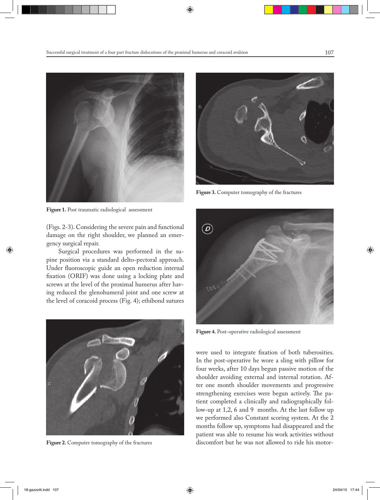

**Figure 1.** Post traumatic radiological assessment

(Figs. 2-3). Considering the severe pain and functional damage on the right shoulder, we planned an emergency surgical repair.

Surgical procedures was performed in the supine position via a standard delto-pectoral approach. Under fluoroscopic guide an open reduction internal fixation (ORIF) was done using a locking plate and screws at the level of the proximal humerus after having reduced the glenohumeral joint and one screw at the level of coracoid process (Fig. 4); ethibond sutures



**Figure 2.** Computer tomography of the fractures



**Figure 3.** Computer tomography of the fractures



**Figure 4.** Post-operative radiological assessment

were used to integrate fixation of both tuberosities. In the post-operative he wore a sling with pillow for four weeks, after 10 days begun passive motion of the shoulder avoiding external and internal rotation. After one month shoulder movements and progressive strengthening exercises were begun actively. The patient completed a clinically and radiographically follow-up at 1,2, 6 and 9 months. At the last follow up we performed also Constant scoring system. At the 2 months follow up, symptoms had disappeared and the patient was able to resume his work activities without discomfort but he was not allowed to ride his motor-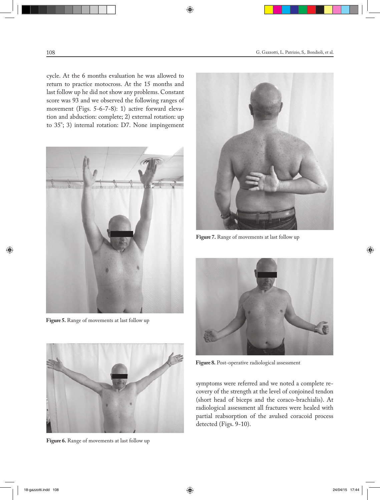cycle. At the 6 months evaluation he was allowed to return to practice motocross. At the 15 months and last follow up he did not show any problems. Constant score was 93 and we observed the following ranges of movement (Figs. 5-6-7-8): 1) active forward elevation and abduction: complete; 2) external rotation: up to 35°; 3) internal rotation: D7. None impingement



**Figure 5.** Range of movements at last follow up



**Figure 6.** Range of movements at last follow up



**Figure 7.** Range of movements at last follow up



**Figure 8.** Post-operative radiological assessment

symptoms were referred and we noted a complete recovery of the strength at the level of conjoined tendon (short head of biceps and the coraco-brachialis). At radiological assessment all fractures were healed with partial reabsorption of the avulsed coracoid process detected (Figs. 9-10).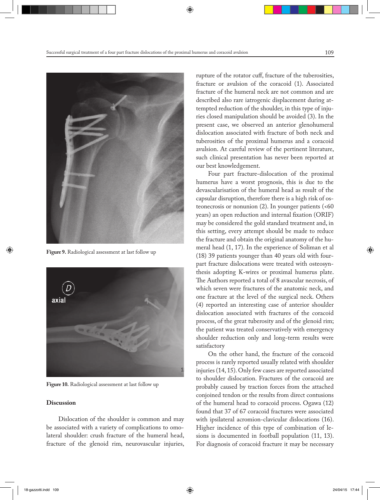

**Figure 9.** Radiological assessment at last follow up



**Figure 10.** Radiological assessment at last follow up

#### **Discussion**

Dislocation of the shoulder is common and may be associated with a variety of complications to omolateral shoulder: crush fracture of the humeral head, fracture of the glenoid rim, neurovascular injuries,

rupture of the rotator cuff, fracture of the tuberosities, fracture or avulsion of the coracoid (1). Associated fracture of the humeral neck are not common and are described also rare iatrogenic displacement during attempted reduction of the shoulder, in this type of injuries closed manipulation should be avoided (3). In the present case, we observed an anterior glenohumeral dislocation associated with fracture of both neck and tuberosities of the proximal humerus and a coracoid avulsion. At careful review of the pertinent literature, such clinical presentation has never been reported at our best knowledgement.

Four part fracture-dislocation of the proximal humerus have a worst prognosis, this is due to the devascularisation of the humeral head as result of the capsular disruption, therefore there is a high risk of osteonecrosis or nonunion  $(2)$ . In younger patients  $(50)$ years) an open reduction and internal fixation (ORIF) may be considered the gold standard treatment and, in this setting, every attempt should be made to reduce the fracture and obtain the original anatomy of the humeral head (1, 17). In the experience of Soliman et al (18) 39 patients younger than 40 years old with fourpart fracture dislocations were treated with osteosynthesis adopting K-wires or proximal humerus plate. The Authors reported a total of 8 avascular necrosis, of which seven were fractures of the anatomic neck, and one fracture at the level of the surgical neck. Others (4) reported an interesting case of anterior shoulder dislocation associated with fractures of the coracoid process, of the great tuberosity and of the glenoid rim; the patient was treated conservatively with emergency shoulder reduction only and long-term results were satisfactory

On the other hand, the fracture of the coracoid process is rarely reported usually related with shoulder injuries (14, 15). Only few cases are reported associated to shoulder dislocation. Fractures of the coracoid are probably caused by traction forces from the attached conjoined tendon or the results from direct contusions of the humeral head to coracoid process. Ogawa (12) found that 37 of 67 coracoid fractures were associated with ipsilateral acromion-clavicular dislocations (16). Higher incidence of this type of combination of lesions is documented in football population (11, 13). For diagnosis of coracoid fracture it may be necessary